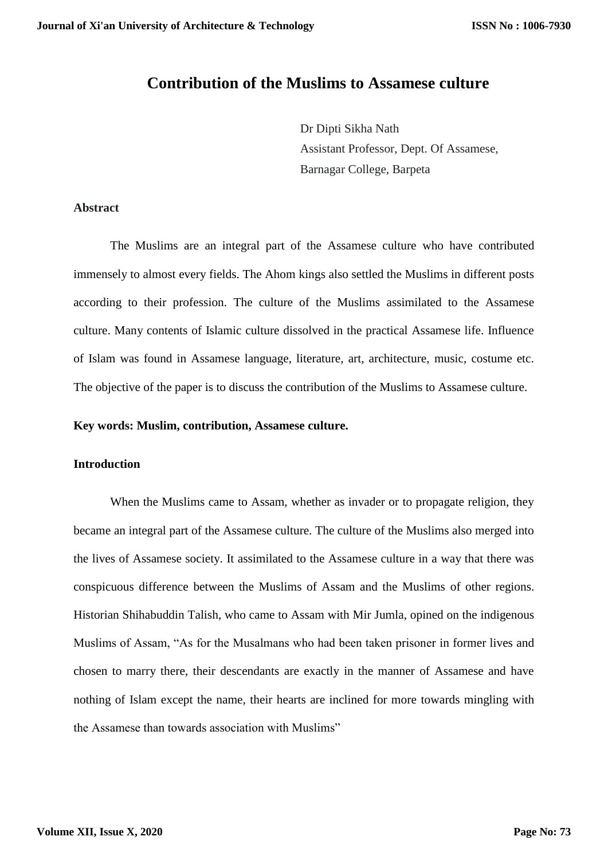# **Contribution of the Muslims to Assamese culture**

Dr Dipti Sikha Nath Assistant Professor, Dept. Of Assamese, Barnagar College, Barpeta

## **Abstract**

The Muslims are an integral part of the Assamese culture who have contributed immensely to almost every fields. The Ahom kings also settled the Muslims in different posts according to their profession. The culture of the Muslims assimilated to the Assamese culture. Many contents of Islamic culture dissolved in the practical Assamese life. Influence of Islam was found in Assamese language, literature, art, architecture, music, costume etc. The objective of the paper is to discuss the contribution of the Muslims to Assamese culture.

#### **Key words: Muslim, contribution, Assamese culture.**

## **Introduction**

When the Muslims came to Assam, whether as invader or to propagate religion, they became an integral part of the Assamese culture. The culture of the Muslims also merged into the lives of Assamese society. It assimilated to the Assamese culture in a way that there was conspicuous difference between the Muslims of Assam and the Muslims of other regions. Historian Shihabuddin Talish, who came to Assam with Mir Jumla, opined on the indigenous Muslims of Assam, "As for the Musalmans who had been taken prisoner in former lives and chosen to marry there, their descendants are exactly in the manner of Assamese and have nothing of Islam except the name, their hearts are inclined for more towards mingling with the Assamese than towards association with Muslims"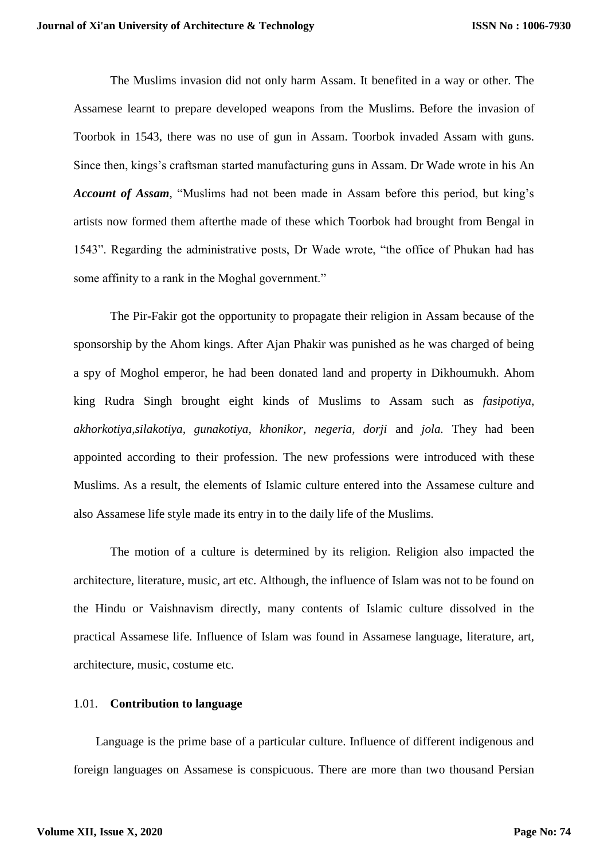The Muslims invasion did not only harm Assam. It benefited in a way or other. The Assamese learnt to prepare developed weapons from the Muslims. Before the invasion of Toorbok in 1543, there was no use of gun in Assam. Toorbok invaded Assam with guns. Since then, kings's craftsman started manufacturing guns in Assam. Dr Wade wrote in his An *Account of Assam*, "Muslims had not been made in Assam before this period, but king's artists now formed them afterthe made of these which Toorbok had brought from Bengal in 1543". Regarding the administrative posts, Dr Wade wrote, "the office of Phukan had has some affinity to a rank in the Moghal government."

The Pir-Fakir got the opportunity to propagate their religion in Assam because of the sponsorship by the Ahom kings. After Ajan Phakir was punished as he was charged of being a spy of Moghol emperor, he had been donated land and property in Dikhoumukh. Ahom king Rudra Singh brought eight kinds of Muslims to Assam such as *fasipotiya, akhorkotiya,silakotiya, gunakotiya, khonikor, negeria, dorji* and *jola.* They had been appointed according to their profession. The new professions were introduced with these Muslims. As a result, the elements of Islamic culture entered into the Assamese culture and also Assamese life style made its entry in to the daily life of the Muslims.

The motion of a culture is determined by its religion. Religion also impacted the architecture, literature, music, art etc. Although, the influence of Islam was not to be found on the Hindu or Vaishnavism directly, many contents of Islamic culture dissolved in the practical Assamese life. Influence of Islam was found in Assamese language, literature, art, architecture, music, costume etc.

#### 1.01. **Contribution to language**

Language is the prime base of a particular culture. Influence of different indigenous and foreign languages on Assamese is conspicuous. There are more than two thousand Persian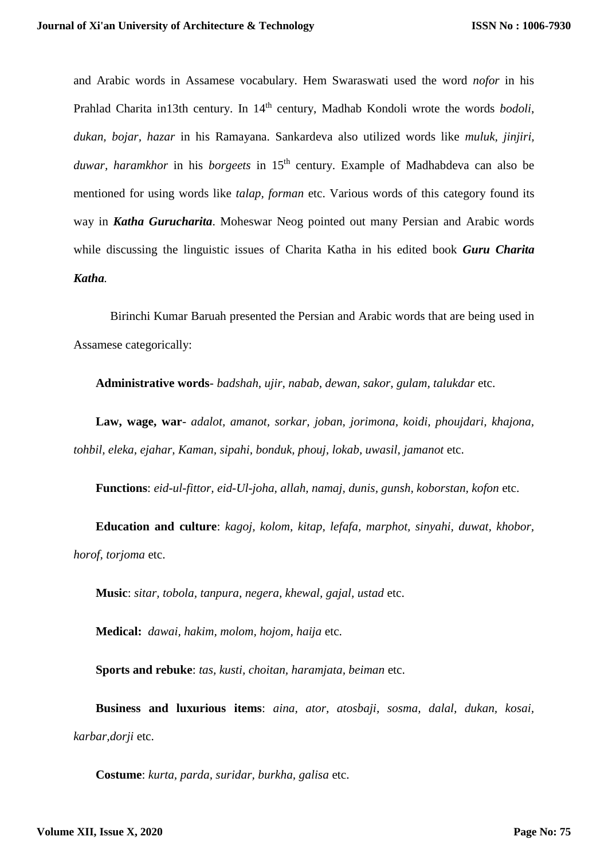and Arabic words in Assamese vocabulary. Hem Swaraswati used the word *nofor* in his Prahlad Charita in13th century. In 14<sup>th</sup> century, Madhab Kondoli wrote the words *bodoli*, *dukan, bojar, hazar* in his Ramayana. Sankardeva also utilized words like *muluk, jinjiri,*  duwar, haramkhor in his *borgeets* in 15<sup>th</sup> century. Example of Madhabdeva can also be mentioned for using words like *talap, forman* etc. Various words of this category found its way in *Katha Gurucharita*. Moheswar Neog pointed out many Persian and Arabic words while discussing the linguistic issues of Charita Katha in his edited book *Guru Charita Katha.*

Birinchi Kumar Baruah presented the Persian and Arabic words that are being used in Assamese categorically:

**Administrative words**- *badshah, ujir, nabab, dewan, sakor, gulam, talukdar* etc.

**Law, wage, war**- *adalot, amanot, sorkar, joban, jorimona, koidi, phoujdari, khajona, tohbil, eleka, ejahar, Kaman, sipahi, bonduk, phouj, lokab, uwasil, jamanot* etc.

**Functions**: *eid-ul-fittor, eid-Ul-joha, allah, namaj, dunis, gunsh, koborstan, kofon* etc.

**Education and culture**: *kagoj, kolom, kitap, lefafa, marphot, sinyahi, duwat, khobor, horof, torjoma* etc.

**Music**: *sitar, tobola, tanpura, negera, khewal, gajal, ustad* etc.

**Medical:** *dawai, hakim, molom, hojom, haija* etc.

**Sports and rebuke**: *tas, kusti, choitan, haramjata, beiman* etc.

**Business and luxurious items**: *aina, ator, atosbaji, sosma, dalal, dukan, kosai, karbar,dorji* etc.

**Costume**: *kurta, parda, suridar, burkha, galisa* etc.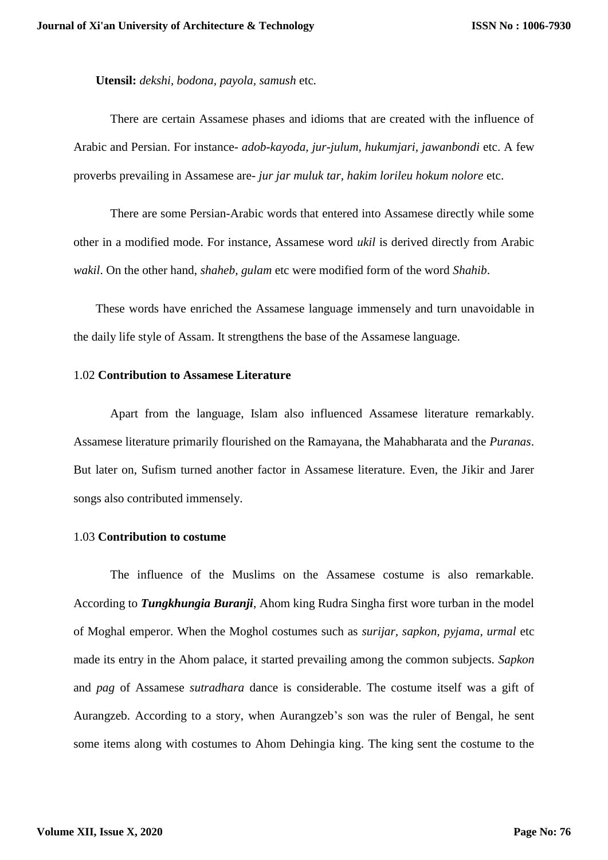**Utensil:** *dekshi, bodona, payola, samush* etc*.*

There are certain Assamese phases and idioms that are created with the influence of Arabic and Persian. For instance- *adob-kayoda, jur-julum, hukumjari, jawanbondi* etc. A few proverbs prevailing in Assamese are- *jur jar muluk tar, hakim lorileu hokum nolore* etc.

There are some Persian-Arabic words that entered into Assamese directly while some other in a modified mode. For instance, Assamese word *ukil* is derived directly from Arabic *wakil*. On the other hand, *shaheb, gulam* etc were modified form of the word *Shahib*.

These words have enriched the Assamese language immensely and turn unavoidable in the daily life style of Assam. It strengthens the base of the Assamese language.

## 1.02 **Contribution to Assamese Literature**

Apart from the language, Islam also influenced Assamese literature remarkably. Assamese literature primarily flourished on the Ramayana, the Mahabharata and the *Puranas*. But later on, Sufism turned another factor in Assamese literature. Even, the Jikir and Jarer songs also contributed immensely.

#### 1.03 **Contribution to costume**

The influence of the Muslims on the Assamese costume is also remarkable. According to *Tungkhungia Buranji*, Ahom king Rudra Singha first wore turban in the model of Moghal emperor. When the Moghol costumes such as *surijar, sapkon, pyjama, urmal* etc made its entry in the Ahom palace, it started prevailing among the common subjects. *Sapkon*  and *pag* of Assamese *sutradhara* dance is considerable. The costume itself was a gift of Aurangzeb. According to a story, when Aurangzeb's son was the ruler of Bengal, he sent some items along with costumes to Ahom Dehingia king. The king sent the costume to the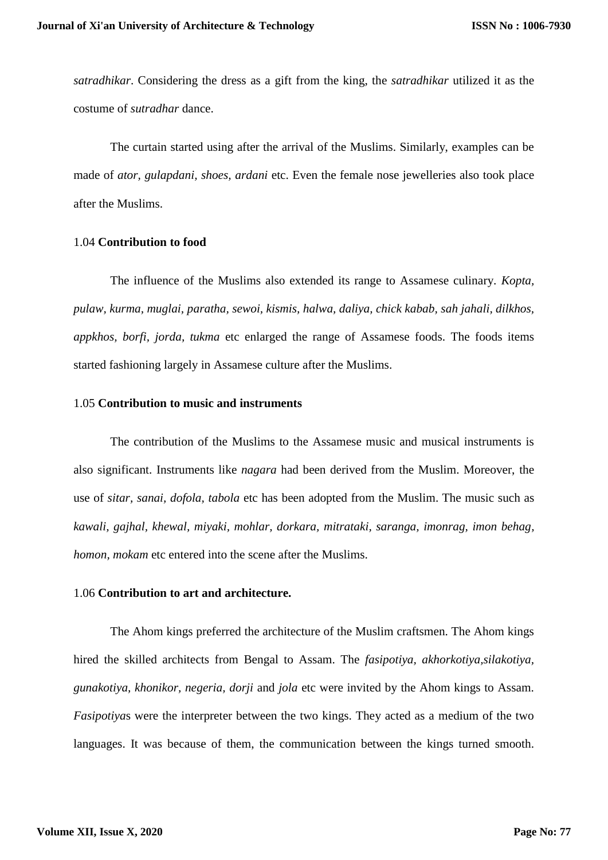*satradhikar*. Considering the dress as a gift from the king, the *satradhikar* utilized it as the costume of *sutradhar* dance.

The curtain started using after the arrival of the Muslims. Similarly, examples can be made of *ator, gulapdani, shoes, ardani* etc. Even the female nose jewelleries also took place after the Muslims.

## 1.04 **Contribution to food**

The influence of the Muslims also extended its range to Assamese culinary. *Kopta, pulaw, kurma, muglai, paratha, sewoi, kismis, halwa, daliya, chick kabab, sah jahali, dilkhos, appkhos, borfi, jorda, tukma* etc enlarged the range of Assamese foods. The foods items started fashioning largely in Assamese culture after the Muslims.

## 1.05 **Contribution to music and instruments**

The contribution of the Muslims to the Assamese music and musical instruments is also significant. Instruments like *nagara* had been derived from the Muslim. Moreover, the use of *sitar, sanai, dofola, tabola* etc has been adopted from the Muslim. The music such as *kawali, gajhal, khewal, miyaki, mohlar, dorkara, mitrataki, saranga, imonrag, imon behag, homon, mokam* etc entered into the scene after the Muslims.

#### 1.06 **Contribution to art and architecture.**

The Ahom kings preferred the architecture of the Muslim craftsmen. The Ahom kings hired the skilled architects from Bengal to Assam. The *fasipotiya, akhorkotiya, silakotiya*, *gunakotiya, khonikor, negeria, dorji* and *jola* etc were invited by the Ahom kings to Assam. *Fasipotiya*s were the interpreter between the two kings. They acted as a medium of the two languages. It was because of them, the communication between the kings turned smooth.